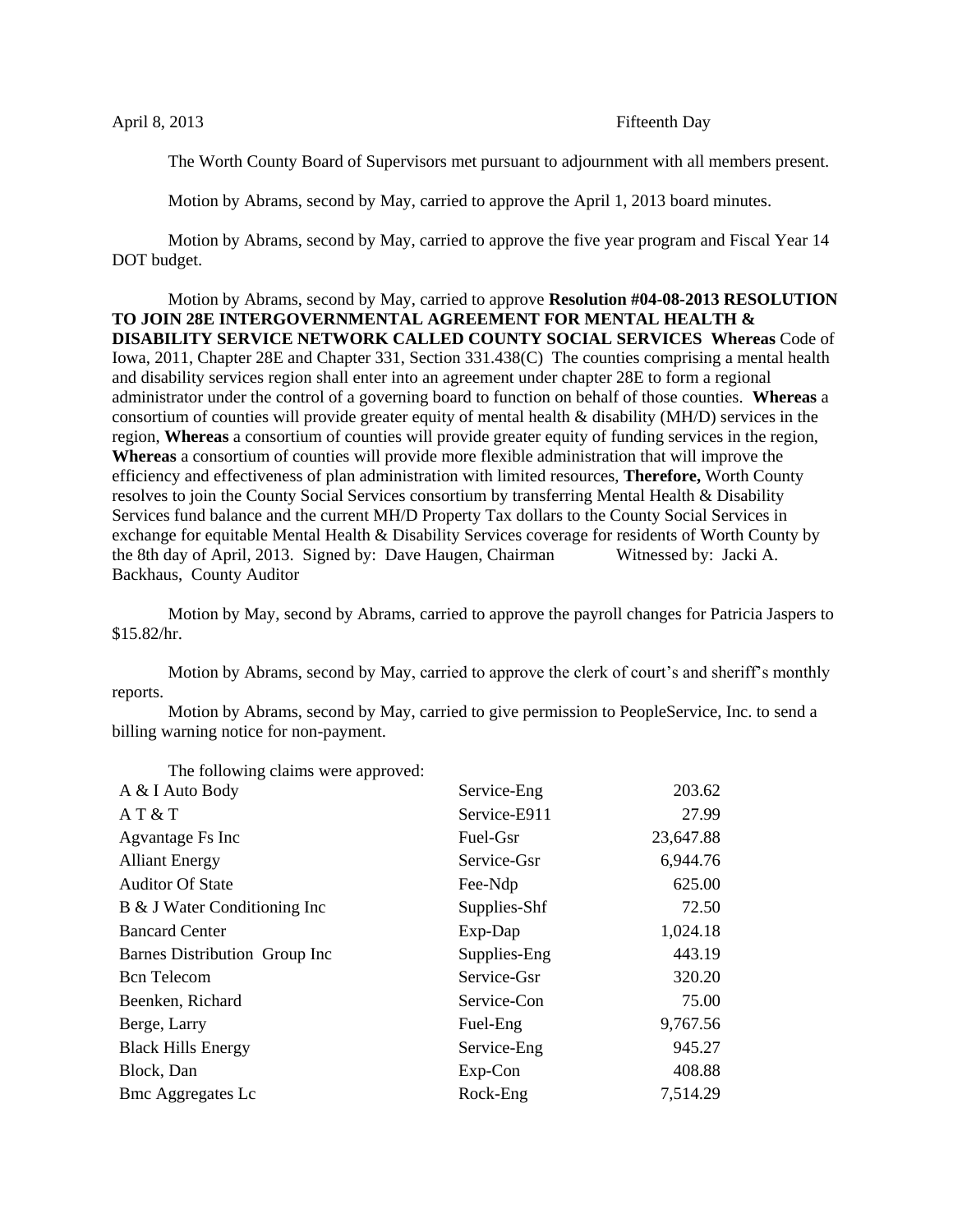The Worth County Board of Supervisors met pursuant to adjournment with all members present.

Motion by Abrams, second by May, carried to approve the April 1, 2013 board minutes.

Motion by Abrams, second by May, carried to approve the five year program and Fiscal Year 14 DOT budget.

Motion by Abrams, second by May, carried to approve **Resolution #04-08-2013 RESOLUTION TO JOIN 28E INTERGOVERNMENTAL AGREEMENT FOR MENTAL HEALTH & DISABILITY SERVICE NETWORK CALLED COUNTY SOCIAL SERVICES Whereas** Code of Iowa, 2011, Chapter 28E and Chapter 331, Section 331.438(C) The counties comprising a mental health and disability services region shall enter into an agreement under chapter 28E to form a regional administrator under the control of a governing board to function on behalf of those counties. **Whereas** a consortium of counties will provide greater equity of mental health & disability (MH/D) services in the region, **Whereas** a consortium of counties will provide greater equity of funding services in the region, **Whereas** a consortium of counties will provide more flexible administration that will improve the efficiency and effectiveness of plan administration with limited resources, **Therefore,** Worth County resolves to join the County Social Services consortium by transferring Mental Health & Disability Services fund balance and the current MH/D Property Tax dollars to the County Social Services in exchange for equitable Mental Health & Disability Services coverage for residents of Worth County by the 8th day of April, 2013. Signed by: Dave Haugen, Chairman Witnessed by: Jacki A. Backhaus, County Auditor

Motion by May, second by Abrams, carried to approve the payroll changes for Patricia Jaspers to \$15.82/hr.

Motion by Abrams, second by May, carried to approve the clerk of court's and sheriff's monthly reports.

Motion by Abrams, second by May, carried to give permission to PeopleService, Inc. to send a billing warning notice for non-payment.

| The following claims were approved. |              |           |
|-------------------------------------|--------------|-----------|
| A & I Auto Body                     | Service-Eng  | 203.62    |
| AT & T                              | Service-E911 | 27.99     |
| Agvantage Fs Inc                    | Fuel-Gsr     | 23,647.88 |
| <b>Alliant Energy</b>               | Service-Gsr  | 6,944.76  |
| <b>Auditor Of State</b>             | Fee-Ndp      | 625.00    |
| B & J Water Conditioning Inc        | Supplies-Shf | 72.50     |
| <b>Bancard Center</b>               | Exp-Dap      | 1,024.18  |
| Barnes Distribution Group Inc       | Supplies-Eng | 443.19    |
| <b>Bcn</b> Telecom                  | Service-Gsr  | 320.20    |
| Beenken, Richard                    | Service-Con  | 75.00     |
| Berge, Larry                        | Fuel-Eng     | 9,767.56  |
| <b>Black Hills Energy</b>           | Service-Eng  | 945.27    |
| Block, Dan                          | $Exp$ -Con   | 408.88    |
| <b>Bmc Aggregates Lc</b>            | Rock-Eng     | 7,514.29  |

The following claims were approved: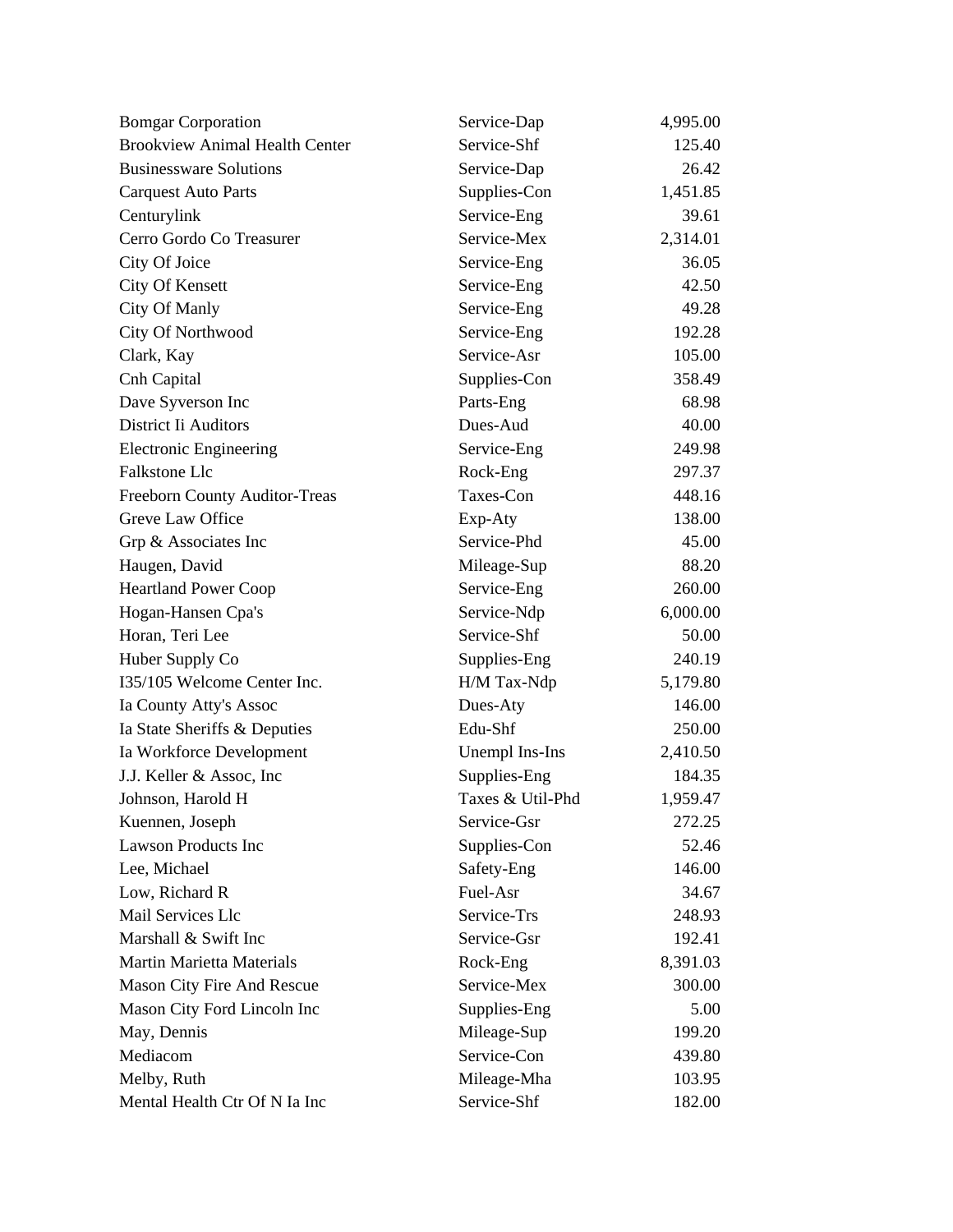| <b>Bomgar Corporation</b>             | Service-Dap      | 4,995.00 |
|---------------------------------------|------------------|----------|
| <b>Brookview Animal Health Center</b> | Service-Shf      | 125.40   |
| <b>Businessware Solutions</b>         | Service-Dap      | 26.42    |
| <b>Carquest Auto Parts</b>            | Supplies-Con     | 1,451.85 |
| Centurylink                           | Service-Eng      | 39.61    |
| Cerro Gordo Co Treasurer              | Service-Mex      | 2,314.01 |
| City Of Joice                         | Service-Eng      | 36.05    |
| <b>City Of Kensett</b>                | Service-Eng      | 42.50    |
| City Of Manly                         | Service-Eng      | 49.28    |
| City Of Northwood                     | Service-Eng      | 192.28   |
| Clark, Kay                            | Service-Asr      | 105.00   |
| Cnh Capital                           | Supplies-Con     | 358.49   |
| Dave Syverson Inc                     | Parts-Eng        | 68.98    |
| <b>District Ii Auditors</b>           | Dues-Aud         | 40.00    |
| <b>Electronic Engineering</b>         | Service-Eng      | 249.98   |
| Falkstone Llc                         | Rock-Eng         | 297.37   |
| Freeborn County Auditor-Treas         | Taxes-Con        | 448.16   |
| Greve Law Office                      | Exp-Aty          | 138.00   |
| Grp & Associates Inc                  | Service-Phd      | 45.00    |
| Haugen, David                         | Mileage-Sup      | 88.20    |
| <b>Heartland Power Coop</b>           | Service-Eng      | 260.00   |
| Hogan-Hansen Cpa's                    | Service-Ndp      | 6,000.00 |
| Horan, Teri Lee                       | Service-Shf      | 50.00    |
| Huber Supply Co                       | Supplies-Eng     | 240.19   |
| I35/105 Welcome Center Inc.           | H/M Tax-Ndp      | 5,179.80 |
| Ia County Atty's Assoc                | Dues-Aty         | 146.00   |
| Ia State Sheriffs & Deputies          | Edu-Shf          | 250.00   |
| Ia Workforce Development              | Unempl Ins-Ins   | 2,410.50 |
| J.J. Keller & Assoc, Inc.             | Supplies-Eng     | 184.35   |
| Johnson, Harold H                     | Taxes & Util-Phd | 1,959.47 |
| Kuennen, Joseph                       | Service-Gsr      | 272.25   |
| <b>Lawson Products Inc</b>            | Supplies-Con     | 52.46    |
| Lee, Michael                          | Safety-Eng       | 146.00   |
| Low, Richard R                        | Fuel-Asr         | 34.67    |
| Mail Services Llc                     | Service-Trs      | 248.93   |
| Marshall & Swift Inc                  | Service-Gsr      | 192.41   |
| <b>Martin Marietta Materials</b>      | Rock-Eng         | 8,391.03 |
| Mason City Fire And Rescue            | Service-Mex      | 300.00   |
| Mason City Ford Lincoln Inc           | Supplies-Eng     | 5.00     |
| May, Dennis                           | Mileage-Sup      | 199.20   |
| Mediacom                              | Service-Con      | 439.80   |
| Melby, Ruth                           | Mileage-Mha      | 103.95   |
| Mental Health Ctr Of N Ia Inc         | Service-Shf      | 182.00   |